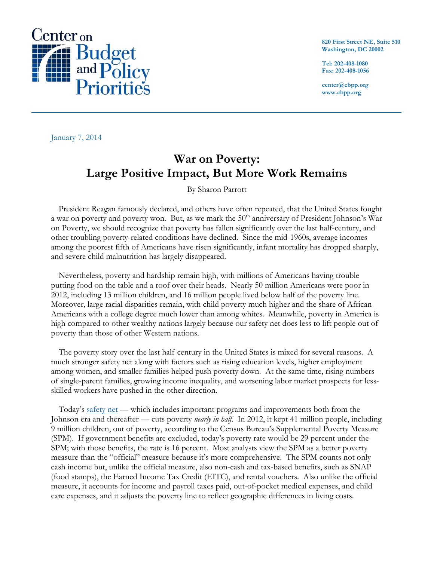

**820 First Street NE, Suite 510 Washington, DC 20002**

**Tel: 202-408-1080 Fax: 202-408-1056**

**center@cbpp.org www.cbpp.org**

January 7, 2014

# **War on Poverty: Large Positive Impact, But More Work Remains**

By Sharon Parrott

President Reagan famously declared, and others have often repeated, that the United States fought a war on poverty and poverty won. But, as we mark the 50<sup>th</sup> anniversary of President Johnson's War on Poverty, we should recognize that poverty has fallen significantly over the last half-century, and other troubling poverty-related conditions have declined. Since the mid-1960s, average incomes among the poorest fifth of Americans have risen significantly, infant mortality has dropped sharply, and severe child malnutrition has largely disappeared.

Nevertheless, poverty and hardship remain high, with millions of Americans having trouble putting food on the table and a roof over their heads. Nearly 50 million Americans were poor in 2012, including 13 million children, and 16 million people lived below half of the poverty line. Moreover, large racial disparities remain, with child poverty much higher and the share of African Americans with a college degree much lower than among whites. Meanwhile, poverty in America is high compared to other wealthy nations largely because our safety net does less to lift people out of poverty than those of other Western nations.

The poverty story over the last half-century in the United States is mixed for several reasons. A much stronger safety net along with factors such as rising education levels, higher employment among women, and smaller families helped push poverty down. At the same time, rising numbers of single-parent families, growing income inequality, and worsening labor market prospects for lessskilled workers have pushed in the other direction.

Today's [safety net](http://www.cbpp.org/cms/index.cfm?fa=view&id=4073) — which includes important programs and improvements both from the Johnson era and thereafter — cuts poverty *nearly in half*.In 2012, it kept 41 million people, including 9 million children, out of poverty, according to the Census Bureau's Supplemental Poverty Measure (SPM). If government benefits are excluded, today's poverty rate would be 29 percent under the SPM; with those benefits, the rate is 16 percent. Most analysts view the SPM as a better poverty measure than the "official" measure because it's more comprehensive. The SPM counts not only cash income but, unlike the official measure, also non-cash and tax-based benefits, such as SNAP (food stamps), the Earned Income Tax Credit (EITC), and rental vouchers. Also unlike the official measure, it accounts for income and payroll taxes paid, out-of-pocket medical expenses, and child care expenses, and it adjusts the poverty line to reflect geographic differences in living costs.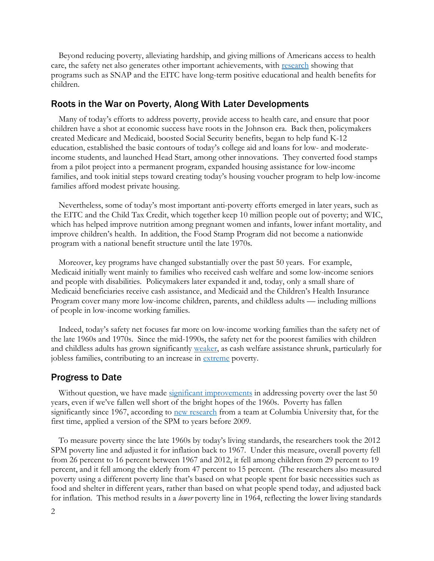Beyond reducing poverty, alleviating hardship, and giving millions of Americans access to health care, the safety net also generates other important achievements, with [research](http://www.cbpp.org/cms/index.cfm?fa=view&id=3997) showing that programs such as SNAP and the EITC have long-term positive educational and health benefits for children.

#### Roots in the War on Poverty, Along With Later Developments

Many of today's efforts to address poverty, provide access to health care, and ensure that poor children have a shot at economic success have roots in the Johnson era. Back then, policymakers created Medicare and Medicaid, boosted Social Security benefits, began to help fund K-12 education, established the basic contours of today's college aid and loans for low- and moderateincome students, and launched Head Start, among other innovations. They converted food stamps from a pilot project into a permanent program, expanded housing assistance for low-income families, and took initial steps toward creating today's housing voucher program to help low-income families afford modest private housing.

Nevertheless, some of today's most important anti-poverty efforts emerged in later years, such as the EITC and the Child Tax Credit, which together keep 10 million people out of poverty; and WIC, which has helped improve nutrition among pregnant women and infants, lower infant mortality, and improve children's health. In addition, the Food Stamp Program did not become a nationwide program with a national benefit structure until the late 1970s.

Moreover, key programs have changed substantially over the past 50 years. For example, Medicaid initially went mainly to families who received cash welfare and some low-income seniors and people with disabilities. Policymakers later expanded it and, today, only a small share of Medicaid beneficiaries receive cash assistance, and Medicaid and the Children's Health Insurance Program cover many more low-income children, parents, and childless adults — including millions of people in low-income working families.

Indeed, today's safety net focuses far more on low-income working families than the safety net of the late 1960s and 1970s. Since the mid-1990s, the safety net for the poorest families with children and childless adults has grown significantly [weaker,](http://www.ssc.wisc.edu/~scholz/Research/Effectiveness.pdf) as cash welfare assistance shrunk, particularly for jobless families, contributing to an increase in [extreme](http://www.npc.umich.edu/publications/working_papers/?publication_id=255&) poverty.

#### Progress to Date

Without question, we have made significant [improvements](http://www.cbpp.org/cms/index.cfm?fa=view&id=4070) in addressing poverty over the last 50 years, even if we've fallen well short of the bright hopes of the 1960s. Poverty has fallen significantly since 1967, according to [new research](https://courseworks.columbia.edu/access/content/group/c5a1ef92-c03c-4d88-0018-ea43dd3cc5db/Working%20Papers%20for%20website/Anchored%20SPM.December7.pdf) from a team at Columbia University that, for the first time, applied a version of the SPM to years before 2009.

To measure poverty since the late 1960s by today's living standards, the researchers took the 2012 SPM poverty line and adjusted it for inflation back to 1967. Under this measure, overall poverty fell from 26 percent to 16 percent between 1967 and 2012, it fell among children from 29 percent to 19 percent, and it fell among the elderly from 47 percent to 15 percent. (The researchers also measured poverty using a different poverty line that's based on what people spent for basic necessities such as food and shelter in different years, rather than based on what people spend today, and adjusted back for inflation. This method results in a *lower* poverty line in 1964, reflecting the lower living standards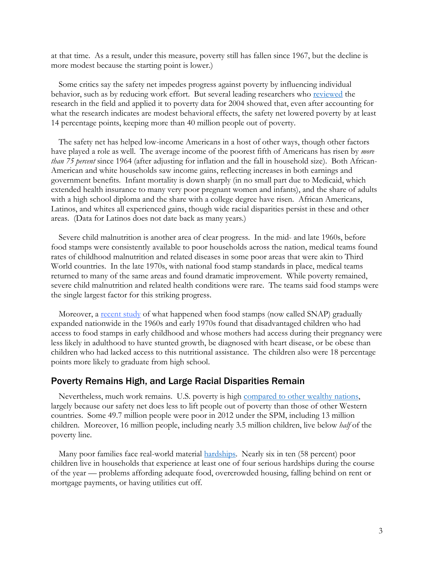at that time. As a result, under this measure, poverty still has fallen since 1967, but the decline is more modest because the starting point is lower.)

Some critics say the safety net impedes progress against poverty by influencing individual behavior, such as by reducing work effort. But several leading researchers who [reviewed](http://www.irp.wisc.edu/publications/dps/pdfs/dp139211.pdf) the research in the field and applied it to poverty data for 2004 showed that, even after accounting for what the research indicates are modest behavioral effects, the safety net lowered poverty by at least 14 percentage points, keeping more than 40 million people out of poverty.

The safety net has helped low-income Americans in a host of other ways, though other factors have played a role as well. The average income of the poorest fifth of Americans has risen by *more than 75 percent* since 1964 (after adjusting for inflation and the fall in household size). Both African-American and white households saw income gains, reflecting increases in both earnings and government benefits. Infant mortality is down sharply (in no small part due to Medicaid, which extended health insurance to many very poor pregnant women and infants), and the share of adults with a high school diploma and the share with a college degree have risen. African Americans, Latinos, and whites all experienced gains, though wide racial disparities persist in these and other areas. (Data for Latinos does not date back as many years.)

Severe child malnutrition is another area of clear progress. In the mid- and late 1960s, before food stamps were consistently available to poor households across the nation, medical teams found rates of childhood malnutrition and related diseases in some poor areas that were akin to Third World countries. In the late 1970s, with national food stamp standards in place, medical teams returned to many of the same areas and found dramatic improvement. While poverty remained, severe child malnutrition and related health conditions were rare. The teams said food stamps were the single largest factor for this striking progress.

Moreover, a [recent study](http://www.nber.org/papers/w18535) of what happened when food stamps (now called SNAP) gradually expanded nationwide in the 1960s and early 1970s found that disadvantaged children who had access to food stamps in early childhood and whose mothers had access during their pregnancy were less likely in adulthood to have stunted growth, be diagnosed with heart disease, or be obese than children who had lacked access to this nutritional assistance. The children also were 18 percentage points more likely to graduate from high school.

### Poverty Remains High, and Large Racial Disparities Remain

Nevertheless, much work remains. U.S. poverty is high [compared to other wealthy nations,](http://www.offthechartsblog.org/taking-stock-of-the-safety-net-part-6-it-works-but-it-doesnt-do-enough/) largely because our safety net does less to lift people out of poverty than those of other Western countries. Some 49.7 million people were poor in 2012 under the SPM, including 13 million children. Moreover, 16 million people, including nearly 3.5 million children, live below *half* of the poverty line.

Many poor families face real-world material [hardships.](http://www.offthechartsblog.org/hardship-in-america-2013-getting-by-has-gotten-tougher/) Nearly six in ten (58 percent) poor children live in households that experience at least one of four serious hardships during the course of the year — problems affording adequate food, overcrowded housing, falling behind on rent or mortgage payments, or having utilities cut off.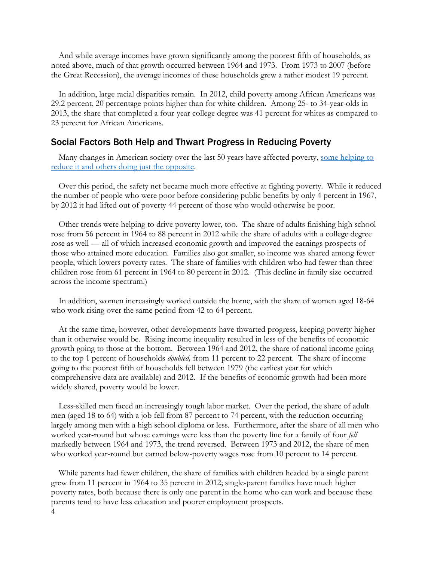And while average incomes have grown significantly among the poorest fifth of households, as noted above, much of that growth occurred between 1964 and 1973. From 1973 to 2007 (before the Great Recession), the average incomes of these households grew a rather modest 19 percent.

In addition, large racial disparities remain. In 2012, child poverty among African Americans was 29.2 percent, 20 percentage points higher than for white children. Among 25- to 34-year-olds in 2013, the share that completed a four-year college degree was 41 percent for whites as compared to 23 percent for African Americans.

## Social Factors Both Help and Thwart Progress in Reducing Poverty

Many changes in American society over the last 50 years have affected poverty, some helping to [reduce it and others doing just the opposite.](http://www.cbpp.org/cms/index.cfm?fa=view&id=4071)

Over this period, the safety net became much more effective at fighting poverty. While it reduced the number of people who were poor before considering public benefits by only 4 percent in 1967, by 2012 it had lifted out of poverty 44 percent of those who would otherwise be poor.

Other trends were helping to drive poverty lower, too. The share of adults finishing high school rose from 56 percent in 1964 to 88 percent in 2012 while the share of adults with a college degree rose as well — all of which increased economic growth and improved the earnings prospects of those who attained more education. Families also got smaller, so income was shared among fewer people, which lowers poverty rates. The share of families with children who had fewer than three children rose from 61 percent in 1964 to 80 percent in 2012. (This decline in family size occurred across the income spectrum.)

In addition, women increasingly worked outside the home, with the share of women aged 18-64 who work rising over the same period from 42 to 64 percent.

At the same time, however, other developments have thwarted progress, keeping poverty higher than it otherwise would be. Rising income inequality resulted in less of the benefits of economic growth going to those at the bottom. Between 1964 and 2012, the share of national income going to the top 1 percent of households *doubled,* from 11 percent to 22 percent. The share of income going to the poorest fifth of households fell between 1979 (the earliest year for which comprehensive data are available) and 2012. If the benefits of economic growth had been more widely shared, poverty would be lower.

Less-skilled men faced an increasingly tough labor market. Over the period, the share of adult men (aged 18 to 64) with a job fell from 87 percent to 74 percent, with the reduction occurring largely among men with a high school diploma or less. Furthermore, after the share of all men who worked year-round but whose earnings were less than the poverty line for a family of four *fell* markedly between 1964 and 1973, the trend reversed. Between 1973 and 2012, the share of men who worked year-round but earned below-poverty wages rose from 10 percent to 14 percent.

While parents had fewer children, the share of families with children headed by a single parent grew from 11 percent in 1964 to 35 percent in 2012; single-parent families have much higher poverty rates, both because there is only one parent in the home who can work and because these parents tend to have less education and poorer employment prospects.